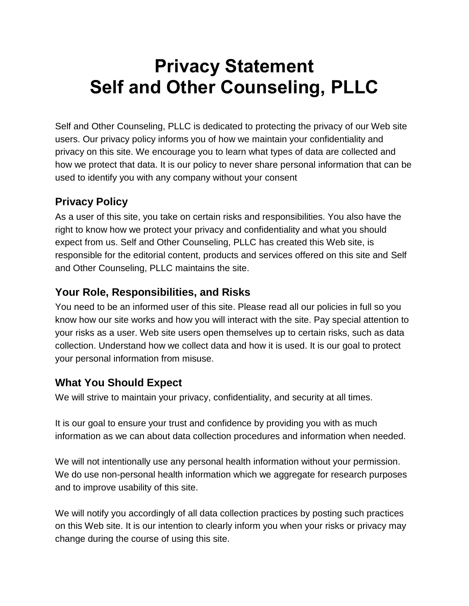# **Privacy Statement Self and Other Counseling, PLLC**

Self and Other Counseling, PLLC is dedicated to protecting the privacy of our Web site users. Our privacy policy informs you of how we maintain your confidentiality and privacy on this site. We encourage you to learn what types of data are collected and how we protect that data. It is our policy to never share personal information that can be used to identify you with any company without your consent

# **Privacy Policy**

As a user of this site, you take on certain risks and responsibilities. You also have the right to know how we protect your privacy and confidentiality and what you should expect from us. Self and Other Counseling, PLLC has created this Web site, is responsible for the editorial content, products and services offered on this site and Self and Other Counseling, PLLC maintains the site.

# **Your Role, Responsibilities, and Risks**

You need to be an informed user of this site. Please read all our policies in full so you know how our site works and how you will interact with the site. Pay special attention to your risks as a user. Web site users open themselves up to certain risks, such as data collection. Understand how we collect data and how it is used. It is our goal to protect your personal information from misuse.

# **What You Should Expect**

We will strive to maintain your privacy, confidentiality, and security at all times.

It is our goal to ensure your trust and confidence by providing you with as much information as we can about data collection procedures and information when needed.

We will not intentionally use any personal health information without your permission. We do use non-personal health information which we aggregate for research purposes and to improve usability of this site.

We will notify you accordingly of all data collection practices by posting such practices on this Web site. It is our intention to clearly inform you when your risks or privacy may change during the course of using this site.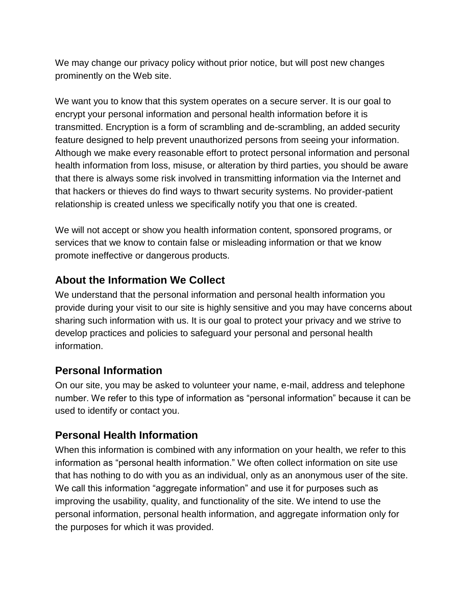We may change our privacy policy without prior notice, but will post new changes prominently on the Web site.

We want you to know that this system operates on a secure server. It is our goal to encrypt your personal information and personal health information before it is transmitted. Encryption is a form of scrambling and de-scrambling, an added security feature designed to help prevent unauthorized persons from seeing your information. Although we make every reasonable effort to protect personal information and personal health information from loss, misuse, or alteration by third parties, you should be aware that there is always some risk involved in transmitting information via the Internet and that hackers or thieves do find ways to thwart security systems. No provider-patient relationship is created unless we specifically notify you that one is created.

We will not accept or show you health information content, sponsored programs, or services that we know to contain false or misleading information or that we know promote ineffective or dangerous products.

#### **About the Information We Collect**

We understand that the personal information and personal health information you provide during your visit to our site is highly sensitive and you may have concerns about sharing such information with us. It is our goal to protect your privacy and we strive to develop practices and policies to safeguard your personal and personal health information.

#### **Personal Information**

On our site, you may be asked to volunteer your name, e-mail, address and telephone number. We refer to this type of information as "personal information" because it can be used to identify or contact you.

#### **Personal Health Information**

When this information is combined with any information on your health, we refer to this information as "personal health information." We often collect information on site use that has nothing to do with you as an individual, only as an anonymous user of the site. We call this information "aggregate information" and use it for purposes such as improving the usability, quality, and functionality of the site. We intend to use the personal information, personal health information, and aggregate information only for the purposes for which it was provided.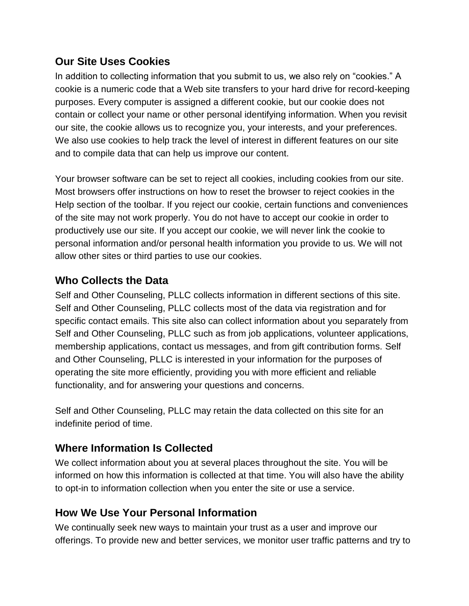#### **Our Site Uses Cookies**

In addition to collecting information that you submit to us, we also rely on "cookies." A cookie is a numeric code that a Web site transfers to your hard drive for record-keeping purposes. Every computer is assigned a different cookie, but our cookie does not contain or collect your name or other personal identifying information. When you revisit our site, the cookie allows us to recognize you, your interests, and your preferences. We also use cookies to help track the level of interest in different features on our site and to compile data that can help us improve our content.

Your browser software can be set to reject all cookies, including cookies from our site. Most browsers offer instructions on how to reset the browser to reject cookies in the Help section of the toolbar. If you reject our cookie, certain functions and conveniences of the site may not work properly. You do not have to accept our cookie in order to productively use our site. If you accept our cookie, we will never link the cookie to personal information and/or personal health information you provide to us. We will not allow other sites or third parties to use our cookies.

# **Who Collects the Data**

Self and Other Counseling, PLLC collects information in different sections of this site. Self and Other Counseling, PLLC collects most of the data via registration and for specific contact emails. This site also can collect information about you separately from Self and Other Counseling, PLLC such as from job applications, volunteer applications, membership applications, contact us messages, and from gift contribution forms. Self and Other Counseling, PLLC is interested in your information for the purposes of operating the site more efficiently, providing you with more efficient and reliable functionality, and for answering your questions and concerns.

Self and Other Counseling, PLLC may retain the data collected on this site for an indefinite period of time.

## **Where Information Is Collected**

We collect information about you at several places throughout the site. You will be informed on how this information is collected at that time. You will also have the ability to opt-in to information collection when you enter the site or use a service.

## **How We Use Your Personal Information**

We continually seek new ways to maintain your trust as a user and improve our offerings. To provide new and better services, we monitor user traffic patterns and try to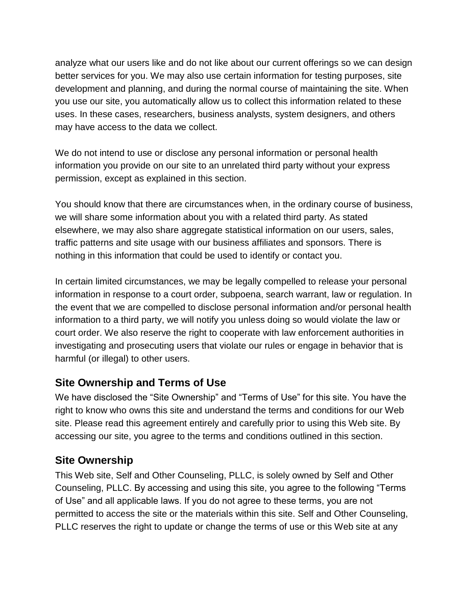analyze what our users like and do not like about our current offerings so we can design better services for you. We may also use certain information for testing purposes, site development and planning, and during the normal course of maintaining the site. When you use our site, you automatically allow us to collect this information related to these uses. In these cases, researchers, business analysts, system designers, and others may have access to the data we collect.

We do not intend to use or disclose any personal information or personal health information you provide on our site to an unrelated third party without your express permission, except as explained in this section.

You should know that there are circumstances when, in the ordinary course of business, we will share some information about you with a related third party. As stated elsewhere, we may also share aggregate statistical information on our users, sales, traffic patterns and site usage with our business affiliates and sponsors. There is nothing in this information that could be used to identify or contact you.

In certain limited circumstances, we may be legally compelled to release your personal information in response to a court order, subpoena, search warrant, law or regulation. In the event that we are compelled to disclose personal information and/or personal health information to a third party, we will notify you unless doing so would violate the law or court order. We also reserve the right to cooperate with law enforcement authorities in investigating and prosecuting users that violate our rules or engage in behavior that is harmful (or illegal) to other users.

#### **Site Ownership and Terms of Use**

We have disclosed the "Site Ownership" and "Terms of Use" for this site. You have the right to know who owns this site and understand the terms and conditions for our Web site. Please read this agreement entirely and carefully prior to using this Web site. By accessing our site, you agree to the terms and conditions outlined in this section.

## **Site Ownership**

This Web site, Self and Other Counseling, PLLC, is solely owned by Self and Other Counseling, PLLC. By accessing and using this site, you agree to the following "Terms of Use" and all applicable laws. If you do not agree to these terms, you are not permitted to access the site or the materials within this site. Self and Other Counseling, PLLC reserves the right to update or change the terms of use or this Web site at any